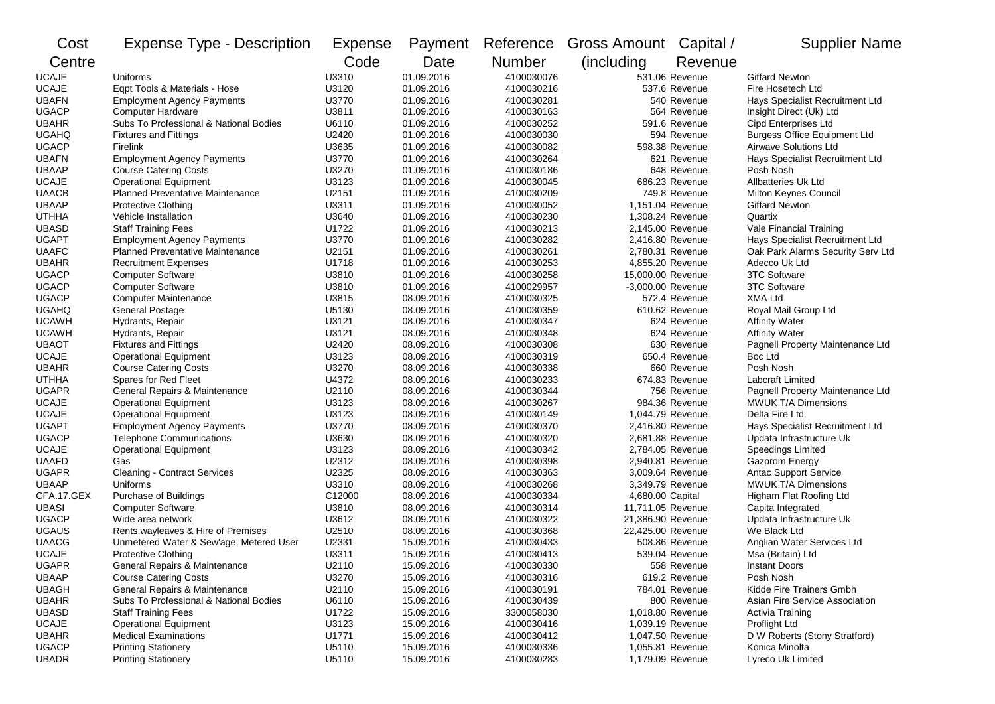| Cost         | <b>Expense Type - Description</b>       | <b>Expense</b> | Payment    | Reference  | Gross Amount Capital / |                  | <b>Supplier Name</b>                |
|--------------|-----------------------------------------|----------------|------------|------------|------------------------|------------------|-------------------------------------|
| Centre       |                                         | Code           | Date       | Number     | (including)            | Revenue          |                                     |
| <b>UCAJE</b> | Uniforms                                | U3310          | 01.09.2016 | 4100030076 |                        | 531.06 Revenue   | <b>Giffard Newton</b>               |
| <b>UCAJE</b> | Eqpt Tools & Materials - Hose           | U3120          | 01.09.2016 | 4100030216 |                        | 537.6 Revenue    | Fire Hosetech Ltd                   |
| <b>UBAFN</b> | <b>Employment Agency Payments</b>       | U3770          | 01.09.2016 | 4100030281 |                        | 540 Revenue      | Hays Specialist Recruitment Ltd     |
| <b>UGACP</b> | <b>Computer Hardware</b>                | U3811          | 01.09.2016 | 4100030163 |                        | 564 Revenue      | Insight Direct (Uk) Ltd             |
| <b>UBAHR</b> | Subs To Professional & National Bodies  | U6110          | 01.09.2016 | 4100030252 |                        | 591.6 Revenue    | <b>Cipd Enterprises Ltd</b>         |
| <b>UGAHQ</b> | <b>Fixtures and Fittings</b>            | U2420          | 01.09.2016 | 4100030030 |                        | 594 Revenue      | <b>Burgess Office Equipment Ltd</b> |
| <b>UGACP</b> | Firelink                                | U3635          | 01.09.2016 | 4100030082 |                        | 598.38 Revenue   | Airwave Solutions Ltd               |
| <b>UBAFN</b> | <b>Employment Agency Payments</b>       | U3770          | 01.09.2016 | 4100030264 |                        | 621 Revenue      | Hays Specialist Recruitment Ltd     |
| <b>UBAAP</b> | <b>Course Catering Costs</b>            | U3270          | 01.09.2016 | 4100030186 |                        | 648 Revenue      | Posh Nosh                           |
| <b>UCAJE</b> | <b>Operational Equipment</b>            | U3123          | 01.09.2016 | 4100030045 |                        | 686.23 Revenue   | <b>Allbatteries Uk Ltd</b>          |
| <b>UAACB</b> | <b>Planned Preventative Maintenance</b> | U2151          | 01.09.2016 | 4100030209 |                        | 749.8 Revenue    | Milton Keynes Council               |
| <b>UBAAP</b> | Protective Clothing                     | U3311          | 01.09.2016 | 4100030052 |                        | 1,151.04 Revenue | <b>Giffard Newton</b>               |
| <b>UTHHA</b> | Vehicle Installation                    | U3640          | 01.09.2016 | 4100030230 |                        | 1,308.24 Revenue | Quartix                             |
| <b>UBASD</b> | <b>Staff Training Fees</b>              | U1722          | 01.09.2016 | 4100030213 |                        | 2,145.00 Revenue | Vale Financial Training             |
| <b>UGAPT</b> | <b>Employment Agency Payments</b>       | U3770          | 01.09.2016 | 4100030282 |                        | 2,416.80 Revenue | Hays Specialist Recruitment Ltd     |
| <b>UAAFC</b> | <b>Planned Preventative Maintenance</b> | U2151          | 01.09.2016 | 4100030261 |                        | 2,780.31 Revenue | Oak Park Alarms Security Serv Ltd   |
| <b>UBAHR</b> | <b>Recruitment Expenses</b>             | U1718          | 01.09.2016 | 4100030253 |                        | 4,855.20 Revenue | Adecco Uk Ltd                       |
| <b>UGACP</b> | <b>Computer Software</b>                | U3810          | 01.09.2016 | 4100030258 | 15,000.00 Revenue      |                  | <b>3TC Software</b>                 |
| <b>UGACP</b> | <b>Computer Software</b>                | U3810          | 01.09.2016 | 4100029957 | $-3,000.00$ Revenue    |                  | 3TC Software                        |
| <b>UGACP</b> | <b>Computer Maintenance</b>             | U3815          | 08.09.2016 | 4100030325 |                        | 572.4 Revenue    | <b>XMA Ltd</b>                      |
| <b>UGAHQ</b> | <b>General Postage</b>                  | U5130          | 08.09.2016 | 4100030359 |                        | 610.62 Revenue   | Royal Mail Group Ltd                |
| <b>UCAWH</b> | Hydrants, Repair                        | U3121          | 08.09.2016 | 4100030347 |                        | 624 Revenue      | <b>Affinity Water</b>               |
| <b>UCAWH</b> | Hydrants, Repair                        | U3121          | 08.09.2016 | 4100030348 |                        | 624 Revenue      | <b>Affinity Water</b>               |
| <b>UBAOT</b> | <b>Fixtures and Fittings</b>            | U2420          | 08.09.2016 | 4100030308 |                        | 630 Revenue      | Pagnell Property Maintenance Ltd    |
| <b>UCAJE</b> | <b>Operational Equipment</b>            | U3123          | 08.09.2016 | 4100030319 |                        | 650.4 Revenue    | Boc Ltd                             |
| <b>UBAHR</b> | <b>Course Catering Costs</b>            | U3270          | 08.09.2016 | 4100030338 |                        | 660 Revenue      | Posh Nosh                           |
| <b>UTHHA</b> | Spares for Red Fleet                    | U4372          | 08.09.2016 | 4100030233 |                        | 674.83 Revenue   | Labcraft Limited                    |
| <b>UGAPR</b> | General Repairs & Maintenance           | U2110          | 08.09.2016 | 4100030344 |                        | 756 Revenue      | Pagnell Property Maintenance Ltd    |
| <b>UCAJE</b> | <b>Operational Equipment</b>            | U3123          | 08.09.2016 | 4100030267 |                        | 984.36 Revenue   | <b>MWUK T/A Dimensions</b>          |
| <b>UCAJE</b> | <b>Operational Equipment</b>            | U3123          | 08.09.2016 | 4100030149 |                        | 1,044.79 Revenue | Delta Fire Ltd                      |
| <b>UGAPT</b> | <b>Employment Agency Payments</b>       | U3770          | 08.09.2016 | 4100030370 |                        | 2,416.80 Revenue | Hays Specialist Recruitment Ltd     |
| <b>UGACP</b> | <b>Telephone Communications</b>         | U3630          | 08.09.2016 | 4100030320 |                        | 2,681.88 Revenue | Updata Infrastructure Uk            |
| <b>UCAJE</b> | <b>Operational Equipment</b>            | U3123          | 08.09.2016 | 4100030342 |                        | 2,784.05 Revenue | Speedings Limited                   |
| <b>UAAFD</b> | Gas                                     | U2312          | 08.09.2016 | 4100030398 |                        | 2,940.81 Revenue | Gazprom Energy                      |
| <b>UGAPR</b> | <b>Cleaning - Contract Services</b>     | U2325          | 08.09.2016 | 4100030363 |                        | 3,009.64 Revenue | Antac Support Service               |
| <b>UBAAP</b> | Uniforms                                | U3310          | 08.09.2016 | 4100030268 |                        | 3,349.79 Revenue | <b>MWUK T/A Dimensions</b>          |
| CFA.17.GEX   | Purchase of Buildings                   | C12000         | 08.09.2016 | 4100030334 | 4,680.00 Capital       |                  | Higham Flat Roofing Ltd             |
| <b>UBASI</b> | <b>Computer Software</b>                | U3810          | 08.09.2016 | 4100030314 | 11,711.05 Revenue      |                  | Capita Integrated                   |
| <b>UGACP</b> | Wide area network                       | U3612          | 08.09.2016 | 4100030322 | 21,386.90 Revenue      |                  | Updata Infrastructure Uk            |
| <b>UGAUS</b> | Rents, wayleaves & Hire of Premises     | U2510          | 08.09.2016 | 4100030368 | 22,425.00 Revenue      |                  | We Black Ltd                        |
| <b>UAACG</b> | Unmetered Water & Sew'age, Metered User | U2331          | 15.09.2016 | 4100030433 |                        | 508.86 Revenue   | Anglian Water Services Ltd          |
| <b>UCAJE</b> | Protective Clothing                     | U3311          | 15.09.2016 | 4100030413 |                        | 539.04 Revenue   | Msa (Britain) Ltd                   |
| <b>UGAPR</b> | General Repairs & Maintenance           | U2110          | 15.09.2016 | 4100030330 |                        | 558 Revenue      | <b>Instant Doors</b>                |
| <b>UBAAP</b> | <b>Course Catering Costs</b>            | U3270          | 15.09.2016 | 4100030316 |                        | 619.2 Revenue    | Posh Nosh                           |
| <b>UBAGH</b> | General Repairs & Maintenance           | U2110          | 15.09.2016 | 4100030191 |                        | 784.01 Revenue   | Kidde Fire Trainers Gmbh            |
| <b>UBAHR</b> | Subs To Professional & National Bodies  | U6110          | 15.09.2016 | 4100030439 |                        | 800 Revenue      | Asian Fire Service Association      |
| <b>UBASD</b> | <b>Staff Training Fees</b>              | U1722          | 15.09.2016 | 3300058030 |                        | 1,018.80 Revenue | Activia Training                    |
| <b>UCAJE</b> | <b>Operational Equipment</b>            | U3123          | 15.09.2016 | 4100030416 |                        | 1,039.19 Revenue | Proflight Ltd                       |
| <b>UBAHR</b> | <b>Medical Examinations</b>             | U1771          | 15.09.2016 | 4100030412 |                        | 1,047.50 Revenue | D W Roberts (Stony Stratford)       |
| <b>UGACP</b> | <b>Printing Stationery</b>              | U5110          | 15.09.2016 | 4100030336 |                        | 1,055.81 Revenue | Konica Minolta                      |
| <b>UBADR</b> | <b>Printing Stationery</b>              | U5110          | 15.09.2016 | 4100030283 |                        | 1,179.09 Revenue | Lyreco Uk Limited                   |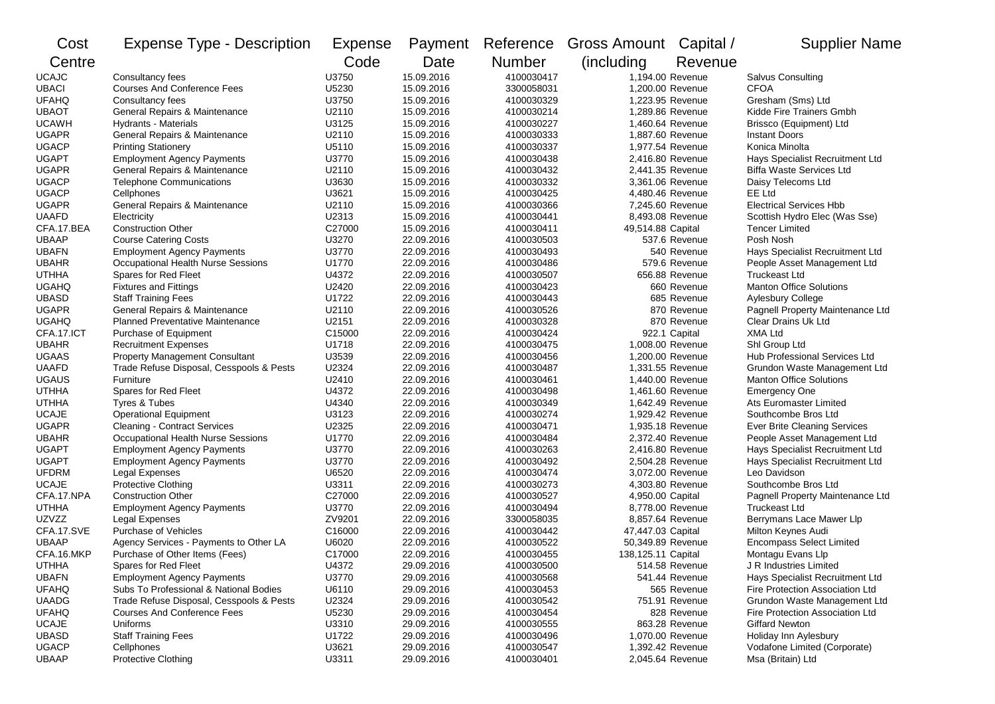| Cost         | <b>Expense Type - Description</b>        | Expense | Payment    | Reference     | Gross Amount Capital / |                | <b>Supplier Name</b>             |
|--------------|------------------------------------------|---------|------------|---------------|------------------------|----------------|----------------------------------|
| Centre       |                                          | Code    | Date       | <b>Number</b> | (including)            | Revenue        |                                  |
| <b>UCAJC</b> | Consultancy fees                         | U3750   | 15.09.2016 | 4100030417    | 1.194.00 Revenue       |                | Salvus Consulting                |
| <b>UBACI</b> | <b>Courses And Conference Fees</b>       | U5230   | 15.09.2016 | 3300058031    | 1,200.00 Revenue       |                | <b>CFOA</b>                      |
| <b>UFAHQ</b> | Consultancy fees                         | U3750   | 15.09.2016 | 4100030329    | 1,223.95 Revenue       |                | Gresham (Sms) Ltd                |
| <b>UBAOT</b> | General Repairs & Maintenance            | U2110   | 15.09.2016 | 4100030214    | 1,289.86 Revenue       |                | Kidde Fire Trainers Gmbh         |
| <b>UCAWH</b> | <b>Hydrants - Materials</b>              | U3125   | 15.09.2016 | 4100030227    | 1,460.64 Revenue       |                | Brissco (Equipment) Ltd          |
| <b>UGAPR</b> | General Repairs & Maintenance            | U2110   | 15.09.2016 | 4100030333    | 1,887.60 Revenue       |                | <b>Instant Doors</b>             |
| <b>UGACP</b> | <b>Printing Stationery</b>               | U5110   | 15.09.2016 | 4100030337    | 1,977.54 Revenue       |                | Konica Minolta                   |
| <b>UGAPT</b> | <b>Employment Agency Payments</b>        | U3770   | 15.09.2016 | 4100030438    | 2,416.80 Revenue       |                | Hays Specialist Recruitment Ltd  |
| <b>UGAPR</b> | General Repairs & Maintenance            | U2110   | 15.09.2016 | 4100030432    | 2,441.35 Revenue       |                | <b>Biffa Waste Services Ltd</b>  |
| <b>UGACP</b> | <b>Telephone Communications</b>          | U3630   | 15.09.2016 | 4100030332    | 3.361.06 Revenue       |                | Daisy Telecoms Ltd               |
| <b>UGACP</b> | Cellphones                               | U3621   | 15.09.2016 | 4100030425    | 4,480.46 Revenue       |                | EE Ltd                           |
| <b>UGAPR</b> | General Repairs & Maintenance            | U2110   | 15.09.2016 | 4100030366    | 7,245.60 Revenue       |                | <b>Electrical Services Hbb</b>   |
| <b>UAAFD</b> | Electricity                              | U2313   | 15.09.2016 | 4100030441    | 8,493.08 Revenue       |                | Scottish Hydro Elec (Was Sse)    |
| CFA.17.BEA   | <b>Construction Other</b>                | C27000  | 15.09.2016 | 4100030411    | 49,514.88 Capital      |                | Tencer Limited                   |
| <b>UBAAP</b> | <b>Course Catering Costs</b>             | U3270   | 22.09.2016 | 4100030503    |                        | 537.6 Revenue  | Posh Nosh                        |
| <b>UBAFN</b> | <b>Employment Agency Payments</b>        | U3770   | 22.09.2016 | 4100030493    |                        | 540 Revenue    | Hays Specialist Recruitment Ltd  |
| <b>UBAHR</b> | Occupational Health Nurse Sessions       | U1770   | 22.09.2016 | 4100030486    |                        | 579.6 Revenue  | People Asset Management Ltd      |
| <b>UTHHA</b> | Spares for Red Fleet                     | U4372   | 22.09.2016 | 4100030507    |                        | 656.88 Revenue | <b>Truckeast Ltd</b>             |
| <b>UGAHQ</b> | <b>Fixtures and Fittings</b>             | U2420   | 22.09.2016 | 4100030423    |                        | 660 Revenue    | <b>Manton Office Solutions</b>   |
| <b>UBASD</b> | <b>Staff Training Fees</b>               | U1722   | 22.09.2016 | 4100030443    |                        | 685 Revenue    | <b>Aylesbury College</b>         |
| <b>UGAPR</b> | General Repairs & Maintenance            | U2110   | 22.09.2016 | 4100030526    |                        | 870 Revenue    | Pagnell Property Maintenance Ltd |
| <b>UGAHQ</b> | <b>Planned Preventative Maintenance</b>  | U2151   | 22.09.2016 | 4100030328    |                        | 870 Revenue    | Clear Drains Uk Ltd              |
| CFA.17.ICT   | Purchase of Equipment                    | C15000  | 22.09.2016 | 4100030424    |                        | 922.1 Capital  | <b>XMA Ltd</b>                   |
| <b>UBAHR</b> | <b>Recruitment Expenses</b>              | U1718   | 22.09.2016 | 4100030475    | 1,008.00 Revenue       |                | Shl Group Ltd                    |
| <b>UGAAS</b> | <b>Property Management Consultant</b>    | U3539   | 22.09.2016 | 4100030456    | 1,200.00 Revenue       |                | Hub Professional Services Ltd    |
| <b>UAAFD</b> | Trade Refuse Disposal, Cesspools & Pests | U2324   | 22.09.2016 | 4100030487    | 1,331.55 Revenue       |                | Grundon Waste Management Ltd     |
| <b>UGAUS</b> | Furniture                                | U2410   | 22.09.2016 | 4100030461    | 1,440.00 Revenue       |                | <b>Manton Office Solutions</b>   |
| <b>UTHHA</b> | Spares for Red Fleet                     | U4372   | 22.09.2016 | 4100030498    | 1,461.60 Revenue       |                | <b>Emergency One</b>             |
| <b>UTHHA</b> | Tyres & Tubes                            | U4340   | 22.09.2016 | 4100030349    | 1,642.49 Revenue       |                | Ats Euromaster Limited           |
| <b>UCAJE</b> | <b>Operational Equipment</b>             | U3123   | 22.09.2016 | 4100030274    | 1,929.42 Revenue       |                | Southcombe Bros Ltd              |
| <b>UGAPR</b> | <b>Cleaning - Contract Services</b>      | U2325   | 22.09.2016 | 4100030471    | 1,935.18 Revenue       |                | Ever Brite Cleaning Services     |
| <b>UBAHR</b> | Occupational Health Nurse Sessions       | U1770   | 22.09.2016 | 4100030484    | 2,372.40 Revenue       |                | People Asset Management Ltd      |
| <b>UGAPT</b> | <b>Employment Agency Payments</b>        | U3770   | 22.09.2016 | 4100030263    | 2,416.80 Revenue       |                | Hays Specialist Recruitment Ltd  |
| <b>UGAPT</b> | <b>Employment Agency Payments</b>        | U3770   | 22.09.2016 | 4100030492    | 2,504.28 Revenue       |                | Hays Specialist Recruitment Ltd  |
| <b>UFDRM</b> | Legal Expenses                           | U6520   | 22.09.2016 | 4100030474    | 3,072.00 Revenue       |                | Leo Davidson                     |
| <b>UCAJE</b> | Protective Clothing                      | U3311   | 22.09.2016 | 4100030273    | 4,303.80 Revenue       |                | Southcombe Bros Ltd              |
| CFA.17.NPA   | <b>Construction Other</b>                | C27000  | 22.09.2016 | 4100030527    | 4,950.00 Capital       |                | Pagnell Property Maintenance Ltd |
| <b>UTHHA</b> | <b>Employment Agency Payments</b>        | U3770   | 22.09.2016 | 4100030494    | 8,778.00 Revenue       |                | <b>Truckeast Ltd</b>             |
| UZVZZ        | Legal Expenses                           | ZV9201  | 22.09.2016 | 3300058035    | 8,857.64 Revenue       |                | Berrymans Lace Mawer Llp         |
| CFA.17.SVE   | Purchase of Vehicles                     | C16000  | 22.09.2016 | 4100030442    | 47,447.03 Capital      |                | Milton Keynes Audi               |
| <b>UBAAP</b> | Agency Services - Payments to Other LA   | U6020   | 22.09.2016 | 4100030522    | 50,349.89 Revenue      |                | <b>Encompass Select Limited</b>  |
| CFA.16.MKP   | Purchase of Other Items (Fees)           | C17000  | 22.09.2016 | 4100030455    | 138,125.11 Capital     |                | Montagu Evans Llp                |
| <b>UTHHA</b> | Spares for Red Fleet                     | U4372   | 29.09.2016 | 4100030500    |                        | 514.58 Revenue | J R Industries Limited           |
| <b>UBAFN</b> | <b>Employment Agency Payments</b>        | U3770   | 29.09.2016 | 4100030568    |                        | 541.44 Revenue | Hays Specialist Recruitment Ltd  |
| <b>UFAHQ</b> | Subs To Professional & National Bodies   | U6110   | 29.09.2016 | 4100030453    |                        | 565 Revenue    | Fire Protection Association Ltd  |
| <b>UAADG</b> | Trade Refuse Disposal, Cesspools & Pests | U2324   | 29.09.2016 | 4100030542    |                        | 751.91 Revenue | Grundon Waste Management Ltd     |
| <b>UFAHQ</b> | <b>Courses And Conference Fees</b>       | U5230   | 29.09.2016 | 4100030454    |                        | 828 Revenue    | Fire Protection Association Ltd  |
| <b>UCAJE</b> | Uniforms                                 | U3310   | 29.09.2016 | 4100030555    |                        | 863.28 Revenue | <b>Giffard Newton</b>            |
| <b>UBASD</b> | <b>Staff Training Fees</b>               | U1722   | 29.09.2016 | 4100030496    | 1,070.00 Revenue       |                | Holiday Inn Aylesbury            |
| <b>UGACP</b> | Cellphones                               | U3621   | 29.09.2016 | 4100030547    | 1,392.42 Revenue       |                | Vodafone Limited (Corporate)     |
| <b>UBAAP</b> | <b>Protective Clothing</b>               | U3311   | 29.09.2016 | 4100030401    | 2,045.64 Revenue       |                | Msa (Britain) Ltd                |